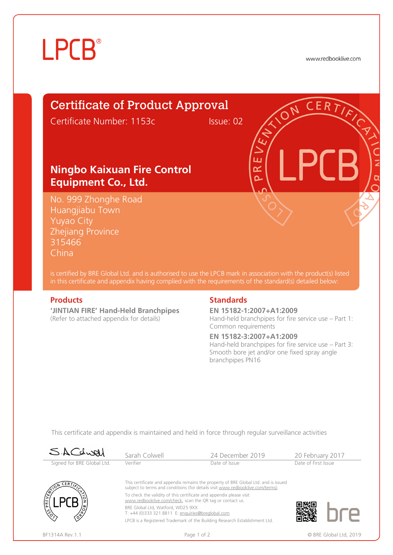# **LPCB**®

www.redbooklive.com

# Certificate of Product Approval

Certificate Number: 1153c Issue: 02

### **Ningbo Kaixuan Fire Control Equipment Co., Ltd.**

No. 999 Zhonghe Road Huangjiabu Town Yuyao City Zhejiang Province 315466 China

is certified by BRE Global Ltd. and is authorised to use the LPCB mark in association with the product(s) listed in this certificate and appendix having complied with the requirements of the standard(s) detailed below:

**'JINTIAN FIRE' Hand-Held Branchpipes**  (Refer to attached appendix for details)

### **Products** Standards **Standards**

**EN 15182-1:2007+A1:2009** Hand-held branchpipes for fire service use – Part 1: Common requirements

#### **EN 15182-3:2007+A1:2009**

ய œ Ò

Hand-held branchpipes for fire service use – Part 3: Smooth bore jet and/or one fixed spray angle branchpipes PN16

This certificate and appendix is maintained and held in force through regular surveillance activities

| SACLURI                    | Sarah Colwell                                                                                                                    | 24 December 2019                                                                                                                                                      | 20 February 2017    |                        |
|----------------------------|----------------------------------------------------------------------------------------------------------------------------------|-----------------------------------------------------------------------------------------------------------------------------------------------------------------------|---------------------|------------------------|
| Signed for BRE Global Ltd. | Verifier                                                                                                                         | Date of Issue                                                                                                                                                         | Date of First Issue |                        |
| CERT<br><b>ASSION</b><br>E |                                                                                                                                  | This certificate and appendix remains the property of BRE Global Ltd. and is issued<br>subject to terms and conditions (for details visit www.redbooklive.com/terms). |                     |                        |
|                            | To check the validity of this certificate and appendix please visit<br>www.redbooklive.com/check, scan the QR tag or contact us. |                                                                                                                                                                       |                     |                        |
|                            | BRE Global Ltd, Watford, WD25 9XX<br>T: +44 (0)333 321 8811 E: enquiries@breglobal.com                                           |                                                                                                                                                                       |                     |                        |
|                            |                                                                                                                                  | LPCB is a Registered Trademark of the Building Research Establishment Ltd.                                                                                            |                     |                        |
| BF1314A Rev. 1.1           | Page 1 of 2                                                                                                                      |                                                                                                                                                                       |                     | © BRE Global Ltd. 2019 |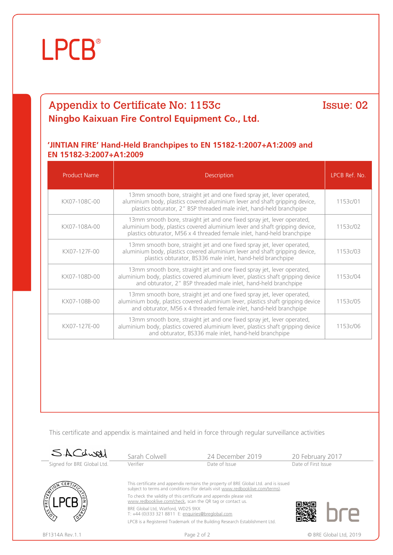# **LPCB**®

## Appendix to Certificate No: 1153c **Ningbo Kaixuan Fire Control Equipment Co., Ltd.**

Issue: 02

### **'JINTIAN FIRE' Hand-Held Branchpipes to EN 15182-1:2007+A1:2009 and EN 15182-3:2007+A1:2009**

| <b>Product Name</b> | <b>Description</b>                                                                                                                                                                                                                | LPCB Ref. No. |
|---------------------|-----------------------------------------------------------------------------------------------------------------------------------------------------------------------------------------------------------------------------------|---------------|
| KX07-108C-00        | 13mm smooth bore, straight jet and one fixed spray jet, lever operated,<br>aluminium body, plastics covered aluminium lever and shaft gripping device,<br>plastics obturator, 2" BSP threaded male inlet, hand-held branchpipe    | 1153c/01      |
| KX07-108A-00        | 13mm smooth bore, straight jet and one fixed spray jet, lever operated,<br>aluminium body, plastics covered aluminium lever and shaft gripping device,<br>plastics obturator, M56 x 4 threaded female inlet, hand-held branchpipe | 1153c/02      |
| KX07-127F-00        | 13mm smooth bore, straight jet and one fixed spray jet, lever operated,<br>aluminium body, plastics covered aluminium lever and shaft gripping device,<br>plastics obturator, BS336 male inlet, hand-held branchpipe              | 1153c/03      |
| KX07-108D-00        | 13mm smooth bore, straight jet and one fixed spray jet, lever operated,<br>aluminium body, plastics covered aluminium lever, plastics shaft gripping device<br>and obturator, 2" BSP threaded male inlet, hand-held branchpipe    | 1153c/04      |
| KX07-108B-00        | 13mm smooth bore, straight jet and one fixed spray jet, lever operated,<br>aluminium body, plastics covered aluminium lever, plastics shaft gripping device<br>and obturator, M56 x 4 threaded female inlet, hand-held branchpipe | 1153c/05      |
| KX07-127E-00        | 13mm smooth bore, straight jet and one fixed spray jet, lever operated,<br>aluminium body, plastics covered aluminium lever, plastics shaft gripping device<br>and obturator, BS336 male inlet, hand-held branchpipe              | 1153c/06      |

This certificate and appendix is maintained and held in force through regular surveillance activities

| SACdwal                    | Sarah Colwell                                                                                                                                                         | 24 December 2019                                                           | 20 February 2017       |  |
|----------------------------|-----------------------------------------------------------------------------------------------------------------------------------------------------------------------|----------------------------------------------------------------------------|------------------------|--|
| Signed for BRE Global Ltd. | Verifier                                                                                                                                                              | Date of Issue                                                              | Date of First Issue    |  |
| $E_{RT}$                   | This certificate and appendix remains the property of BRE Global Ltd. and is issued<br>subject to terms and conditions (for details visit www.redbooklive.com/terms). |                                                                            |                        |  |
| ام<br>آه                   | To check the validity of this certificate and appendix please visit<br>www.redbooklive.com/check, scan the QR tag or contact us.                                      |                                                                            |                        |  |
|                            | BRE Global Ltd, Watford, WD25 9XX<br>T: +44 (0)333 321 8811 E: enquiries@breglobal.com                                                                                |                                                                            |                        |  |
|                            |                                                                                                                                                                       | LPCB is a Registered Trademark of the Building Research Establishment Ltd. |                        |  |
| BF1314A Rev. 1.1           |                                                                                                                                                                       | Page 2 of 2                                                                | © BRE Global Ltd. 2019 |  |